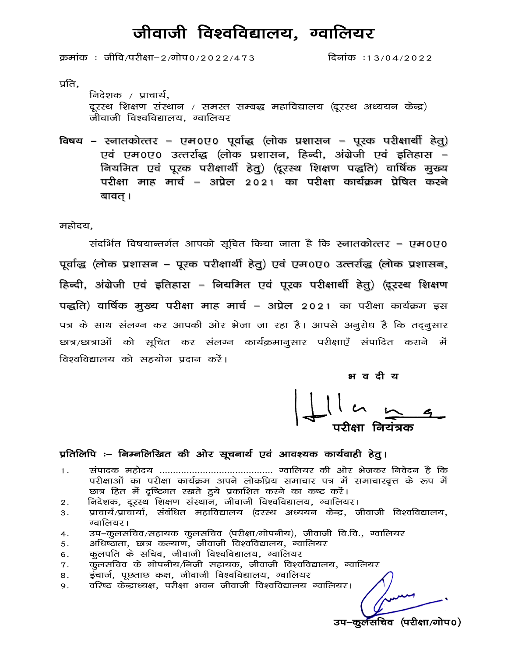## जीवाजी विश्वविद्यालय, ग्वालियर

क्रमांक: जीवि/परीक्षा-2/गोप0/2022/473

दिनांक: 13/04/2022

प्रति,

निदेशक / प्राचार्य, दूरस्थ शिक्षण संस्थान / समस्त सम्बद्ध महाविद्यालय (दूरस्थ अध्ययन केन्द्र) जीवाजी विश्वविद्यालय, ग्वालियर

विषय – स्नातकोत्तर – एम0ए0 पूर्वाद्ध (लोक प्रशासन – पूरक परीक्षार्थी हेतू) एवं एम०ए० उत्तर्राद्ध (लोक प्रशासन, हिन्दी, अंग्रेजी एवं इतिहास – नियमित एवं पूरक परीक्षार्थी हेतु) (दूरस्थ शिक्षण पद्धति) वार्षिक मुख्य परीक्षा माह मार्च – अप्रेल 2021 का परीक्षा कार्यक्रम प्रेषित करने बावत् ।

महोदय.

संदर्भित विषयान्तर्गत आपको सूचित किया जाता है कि स्नातकोत्तर – एम0ए0 पूर्वाद्ध (लोक प्रशासन – पूरक परीक्षार्थी हेतू) एवं एम0ए0 उत्तर्राद्ध (लोक प्रशासन, हिन्दी, अंग्रेजी एवं इतिहास – नियमित एवं पूरक परीक्षार्थी हेतु) (दूरस्थ शिक्षण पद्धति) वार्षिक मुख्य परीक्षा माह मार्च – अप्रेल 2021 का परीक्षा कार्यक्रम इस पत्र के साथ संलग्न कर आपकी ओर भेजा जा रहा है। आपसे अनूरोध है कि तद़नूसार छात्र/छात्राओं को सूचित कर संलग्न कार्यक्रमानुसार परीक्षाएँ संपादित कराने में विश्वविद्यालय को सहयोग प्रदान करें।

भ व दी य

#### प्रतिलिपि :– निम्नलिखित की ओर सूचनार्थ एवं आवश्यक कार्यवाही हेतु।

- $1.$ परीक्षाओं का परीक्षा कार्यक्रम अपने लोकप्रिय समाचार पत्र में समाचारवृत्त के रूप में छात्र हित में दृष्टिगत रखते हुये प्रकाशित करने का कष्ट करें।
- निदेशक, दूरस्थ शिक्षण संस्थान, जीवाजी विश्वविद्यालय, ग्वालियर।  $2.$
- प्राचार्य/प्राचार्या, संबंधित महाविद्यालय (दरस्थ अध्ययन केन्द्र, जीवाजी विश्वविद्यालय, 3. ग्वालियर।
- उप-कुलसचिव/सहायक कुलसचिव (परीक्षा/गोपनीय), जीवाजी वि.वि., ग्वालियर 4.
- अधिष्ठाता, छात्र कल्याण, जीवाजी विश्वविद्यालय, ग्वालियर 5.
- कुलपति के सचिव, जीवाजी विश्वविद्यालय, ग्वालियर 6.
- कुलसचिव के गोपनीय/निजी सहायक, जीवाजी विश्वविद्यालय, ग्वालियर 7.
- .<br>इंचार्ज, पूछताछ कक्ष, जीवाजी विश्वविद्यालय, ग्वालियर 8.
- वरिष्ठ केन्द्राध्यक्ष, परीक्षा भवन जीवाजी विश्वविद्यालय ग्वालियर। 9.

उप–कुर्लसचिव (परीक्षा/गोप0)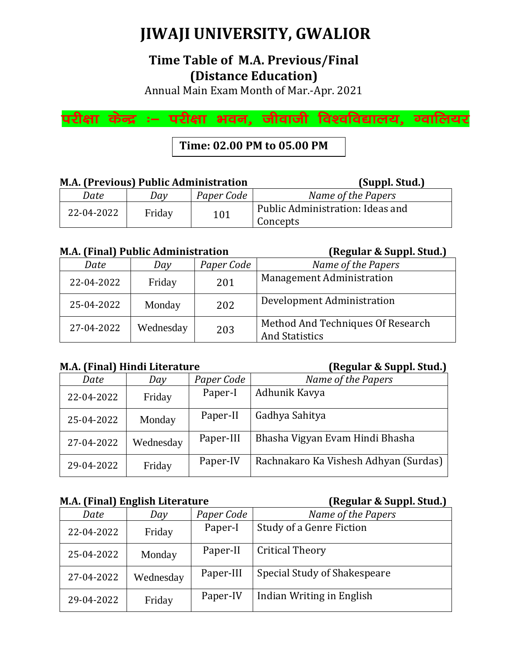# **JIWAJI UNIVERSITY, GWALIOR**

## **Time Table of M.A. Previous/Final (Distance Education)**

Annual Main Exam Month of Mar.-Apr. 2021

परीक्षा केन्द्र ः– परीक्षा भवन, जीवाजी विश्वविद्यालय, ग्वालियर

**Time: 02.00 PM to 05.00 PM**

### **M.A. (Previous) Public Administration (Suppl. Stud.)**

| Date       | Dav    | Paper Code | Name of the Papers                           |
|------------|--------|------------|----------------------------------------------|
| 22-04-2022 | Friday | 101        | Public Administration: Ideas and<br>Concepts |

#### **M.A. (Final) Public Administration (Regular & Suppl. Stud.)**

*Date Day Paper Code Name of the Papers* 22-04-2022 Friday 201 Management Administration 25-04-2022 Monday 202 Development Administration 27-04-2022 Wednesday 203 Method And Techniques Of Research And Statistics

### **M.A. (Final) Hindi Literature (Regular & Suppl. Stud.)**

| Date       | Day       | Paper Code | Name of the Papers                    |
|------------|-----------|------------|---------------------------------------|
| 22-04-2022 | Friday    | Paper-I    | Adhunik Kavya                         |
| 25-04-2022 | Monday    | Paper-II   | Gadhya Sahitya                        |
| 27-04-2022 | Wednesday | Paper-III  | Bhasha Vigyan Evam Hindi Bhasha       |
| 29-04-2022 | Friday    | Paper-IV   | Rachnakaro Ka Vishesh Adhyan (Surdas) |

### **M.A. (Final) English Literature (Regular & Suppl. Stud.)**

| Date       | Day       | Paper Code | Name of the Papers              |
|------------|-----------|------------|---------------------------------|
| 22-04-2022 | Friday    | Paper-I    | <b>Study of a Genre Fiction</b> |
| 25-04-2022 | Monday    | Paper-II   | <b>Critical Theory</b>          |
| 27-04-2022 | Wednesday | Paper-III  | Special Study of Shakespeare    |
| 29-04-2022 | Friday    | Paper-IV   | Indian Writing in English       |